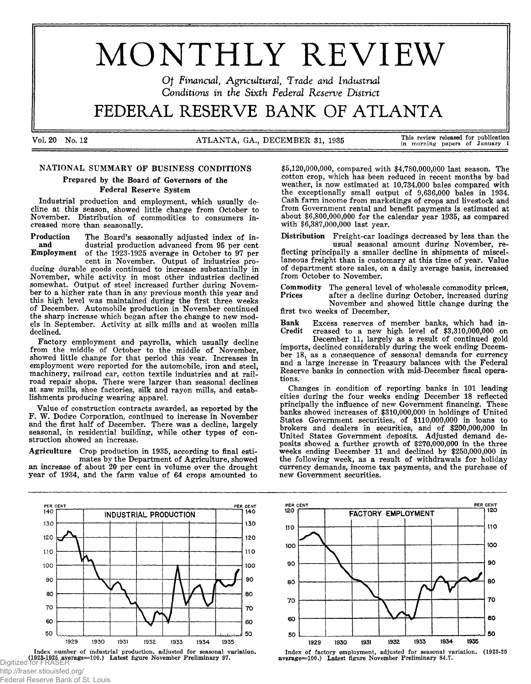# MONTHLY REVIEW

*Of Financial, Agricultural, Trade and Industrial Conditions in the Sixth Federal Reserve District*

# FEDERAL RESERVE BANK OF ATLANTA

Vol. 20 No. 12 ATLANTA, GA., DECEMBER 31, 1935 This review released for publication

in morning papers of January 1

# NATIONAL SUMMARY OF BUSINESS CONDITIONS

Prepared by the Board of Governors of the Federal Reserve System

Industrial production and employment, which usually decline at this season, showed little change from October to November. Distribution of commodities to consumers increased more than seasonally.

Production The Board's seasonally adjusted index of inand dustrial production advanced from 95 per cent<br>Employment of the 1923-1925 average in October to 97 per of the  $1923-1925$  average in October to 97 per cent in November. Output of industries pro-

ducing durable goods continued to increase substantially in November, while activity in most other industries declined somewhat. Output of steel increased further during November to a higher rate than in any previous month this year and this high level was maintained during the first three weeks of December. Automobile production in November continued the sharp increase which began after the change to new models in September. Activity at silk mills and at woolen mills declined.

Factory employment and payrolls, which usually decline from the middle of October to the middle of November, showed little change for that period this year. Increases in employment were reported for the automobile, iron and steel, machinery, railroad car, cotton textile industries and at railroad repair shops. There were larger than seasonal declines at saw mills, shoe factories, silk and rayon mills, and establishments producing wearing apparel.

Value of construction contracts awarded, as reported by the F. W. Dodge Corporation, continued to increase in November and the first half of December. There was a decline, largely seasonal, in residential building, while other types of construction showed an increase.

Agriculture Crop production in 1935, according to final esti-

mates by the Department of Agriculture, showed an increase of about 20 per cent in volume over the drought year of 1934, and the farm value of 64 crops amounted to

PER CENT PER CENT<br>140 INDUSTRIAL PRODUCTION 130 130 120 120 110 11C 100 100 90 90 80 80 70 70 60 60 50 50 1929 1930 1931 1932 1933 1934 1935 Index number of industrial production, adjusted for seasonal variation,

**Digitized for FRASER**<br>Digitized for FRASER

http://fraser.stlouisfed.org/ Federal Reserve Bank of St. Louis

\$5,120,000,000, compared with \$4,780,000,000 last season. The cotton crop, which has been reduced in recent months by bad weather, is now estimated at 10,734,000 bales compared with the exceptionally small output of 9,636,000 bales in 1934. Cash farm income from marketings of crops and livestock and from Government rental and benefit payments is estimated at about \$6,800,000,000 for the calendar year 1935, as compared with \$6,387,000,000 last year.

Distribution Freight-car loadings decreased by less than the

usual seasonal amount during November, reflecting principally a smaller decline in shipments of miscellaneous freight than is customary at this time of year. Value of department store sales, on a daily average basis, increased from October to November.

Commodity The general level of wholesale commodity prices,<br>Prices after a decline during October, increased during after a decline during October, increased during November and showed little change during the

first two weeks of December.

Bank Excess reserves of member banks, which had increased to a new high level of  $$3,310,000,000$  on December 11, largely as a result of continued gold imports, declined considerably during the week ending December 18, as a consequence of seasonal demands for currency and a large increase in Treasury balances with the Federal Reserve banks in connection with mid-December fiscal operations.

Changes in condition of reporting banks in 101 leading cities during the four weeks ending December 18 reflected principally the influence of new Government financing. These banks showed increases of \$310,000,000 in holdings of United States Government securities, of \$110,000,000 in loans to brokers and dealers in securities, and of \$200,000,000 in United States Government deposits. Adjusted demand deposits showed a further growth of \$270,000,000 in the three weeks ending December 11 and declined by \$250,000,000 in the following week, as a result of withdrawals for holiday currency demands, income tax payments, and the purchase of new Government securities.



average=100.) Latest figure November Preliminary 84.7.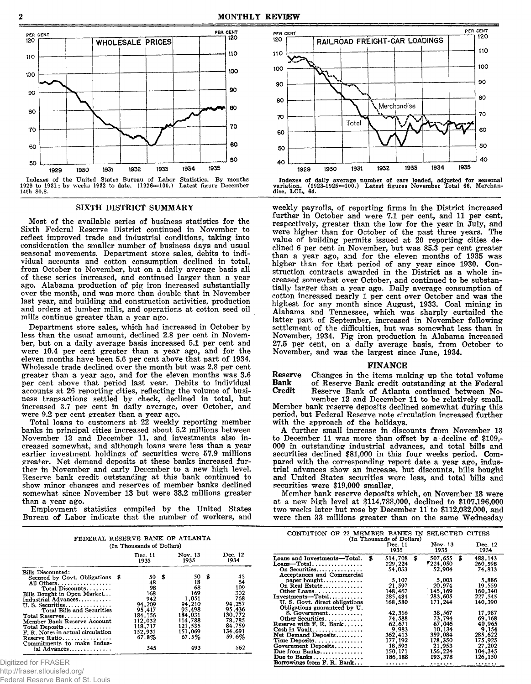

**Indexes of the United States Bureau of Labor Statistics. By months 1929 to 1931; by weeks 1932 to date. (1926=100.) Latest figure December 14th 80.8.**

#### SIXTH DISTRICT SUMMARY

Most of the available series of business statistics for the Sixth Federal Reserve District continued in November to reflect improved trade and industrial conditions, taking into consideration the smaller number of business days and usual seasonal movements. Department store sales, debits to individual accounts and cotton consumption declined in total, from October to November, but on a daily average basis all of these series increased, and continued larger than a year ago. Alabama production of pig iron increased substantially over the month, and was more than double that in November last year, and building and construction activities, production and orders at lumber mills, and operations at cotton seed oil mills continue greater than a year ago.

Department store sales, which had increased in October by less than the usual amount, declined 2.8 per cent in November, but on a daily average basis increased 5.1 per cent and were 10.4 per cent greater than a year ago, and for the eleven months have been 5.6 per cent above that part of 1934. Wholesale trade declined over the month but was 2.8 per cent greater than a year ago, and for the eleven months was 3.6 per cent above that period last year. Debits to individual accounts at 26 reporting cities, reflecting the volume of business transactions settled by check, declined in total, but increased 3.7 per cent in daily average, over October, and were 9.2 per cent greater than a year ago.

Total loans to customers at 22 weekly reporting member banks in principal cities increased about 5.2 millions between November 13 and December 11, and investments also increased somewhat, and although loans were less than a year earlier investment holdings of securities were 57.9 millions greater. Net demand deposits at these banks increased further in November and early December to a new high level. Reserve bank credit outstanding at this bank continued to show minor changes and reserves of member banks declined somewhat since November 13 but were 33.2 millions greater than a year ago.

Employment statistics compiled by the United States Bureau of Labor indicate that the number of workers, and

| FEDERAL RESERVE BANK OF ATLANTA                                                                                                                                                                                                                                                                                         | (In Thousands of Dollars)                                                                                     |                                                                                                               |                                                                                                      |
|-------------------------------------------------------------------------------------------------------------------------------------------------------------------------------------------------------------------------------------------------------------------------------------------------------------------------|---------------------------------------------------------------------------------------------------------------|---------------------------------------------------------------------------------------------------------------|------------------------------------------------------------------------------------------------------|
|                                                                                                                                                                                                                                                                                                                         | Dec. 11<br>1935                                                                                               | Nov. 13<br>1935                                                                                               | Dec. 12<br>1934                                                                                      |
| Bills Discounted:<br>Secured by Govt. Obligations \$<br>All Others<br>Total Discounts<br>Bills Bought in Open Market<br>Industrial Advances<br>II. S. Securities<br>Total Bills and Securities<br>Total Reserves<br>Member Bank Reserve Account<br>Total Deposits<br>F. R. Notes in actual circulation<br>Reserve Ratio | - 56<br>50<br>48<br>98<br>168<br>942<br>94,209<br>95.417<br>184.156<br>112.032<br>118,717<br>152.931<br>67.8% | 50<br>\$<br>18<br>68<br>169<br>1.051<br>94.210<br>95,498<br>184.031<br>114.788<br>121,535<br>151,069<br>67.5% | 45<br>64<br>109<br>302<br>768<br>94.257<br>95,436<br>130,772<br>78.785<br>84,759<br>134,691<br>59.6% |
| Commitments to make Indus-<br>ial Advances                                                                                                                                                                                                                                                                              | 545                                                                                                           | 493                                                                                                           | 562                                                                                                  |

Digitized for FRASER

http://fraser.stlouisfed.org/

Federal Reserve Bank of St. Louis



**Indexes of daily average number of cars loaded, adjusted for seasonal variation. (1923-1925=100.) Latest figures November Total 66, Merchan-dise, L C L , 64.**

weekly payrolls, of reporting firms in the District increased further in October and were 7.1 per cent, and 11 per cent, respectively, greater than the low for the year in July, and were higher than for October of the past three years. The value of building permits issued at 20 reporting cities declined 6 per cent in November, but was 85.3 per cent greater than a year ago, and for the eleven months of 1935 was higher than for that period of any year since 1930. Construction contracts awarded in the District as a whole increased somewhat over October, and continued to be substantially larger than a year ago. Daily average consumption of cotton increased nearly 1 per cent over October and was the highest for any month since August, 1933. Coal mining in Alabama and Tennessee, which was sharply curtailed the latter part of September, increased in November following settlement of the difficulties, but was somewhat less than in November, 1934. Pig iron production in Alabama increased 27.5 per cent, on a daily average basis, from October to November, and was the largest since June, 1934.

#### FINANCE

Reserve Changes in the items making up the total volume<br> **Bank** of Reserve Bank credit outstanding at the Federal **Bank** of Reserve Bank credit outstanding at the Federal Credit Reserve Bank of Atlanta continued between No-Reserve Bank of Atlanta continued between No-

vember 13 and December 11 to be relatively small. Member bank reserve deposits declined somewhat during this period, but Federal Reserve note circulation increased further with the approach of the holidays.

A further small increase in discounts from November 13 to December 11 was more than offset by a decline of \$109,- 000 in outstanding industrial advances, and total bills and securities declined \$81,000 in this four weeks period. Compared with the corresponding report date a year ago, industrial advances show an increase, but discounts, bills bought and United States securities were less, and total bills and securities were \$19,000 smaller.

Member bank reserve deposits which, on November 13 were at **a** new high level at \$114,788,000, declined to \$107,196,000 two weeks later but rose by December 11 to \$112,032,000, and were then 33 millions greater than on the same Wednesday

| CONDITION OF 22 MEMBER BANKS IN                                               | (In Thousands of Dollars)     | SELECTED CITIES                       |                                    |
|-------------------------------------------------------------------------------|-------------------------------|---------------------------------------|------------------------------------|
|                                                                               | Dec. 11<br>1935               | Nov. 13<br>1935                       | Dec. 12<br>1934                    |
| Loans and Investments-Total. \$<br>$L$ oans---Total<br>On Securities          | 514,708<br>229,224<br>54.053  | \$<br>507.655<br>1224,050 *<br>52,904 | \$<br>488,143<br>260,598<br>74.813 |
| Acceptances and Commercial<br>paper bought<br>On Real Estate                  | 5,107<br>21,597               | 5,003<br>20,974                       | 5,886<br>19,559                    |
| Other Loans<br>U. S. Govt. direct obligations<br>Obligations guaranteed by U. | 148,467<br>285,484<br>168,580 | 145.169 `<br>283,605<br>171.244       | 160.340<br>227.545<br>140.390      |
| S. Government<br>Other Securities<br>Reserve with F. R. Bank                  | 42,316<br>74.588<br>62,671    | 38.567<br>73.794<br>67.046            | 17.987<br>69.168<br>40.965         |
| Cash in Vault<br>Net Demand Deposits<br>Time Deposits                         | 9.983<br>362,413<br>177, 192  | 10.134<br>359,084<br>178.350          | 9,154<br>285.622<br>175.925        |
| Government Deposits<br>Due from Banks<br>Due to Banks                         | 18,593<br>150.171<br>186,188  | 21.953<br>156,224<br>193.378          | 27.202<br>104,345<br>126,150       |
| Borrowings from F. R. Bank                                                    | .                             | .                                     | .                                  |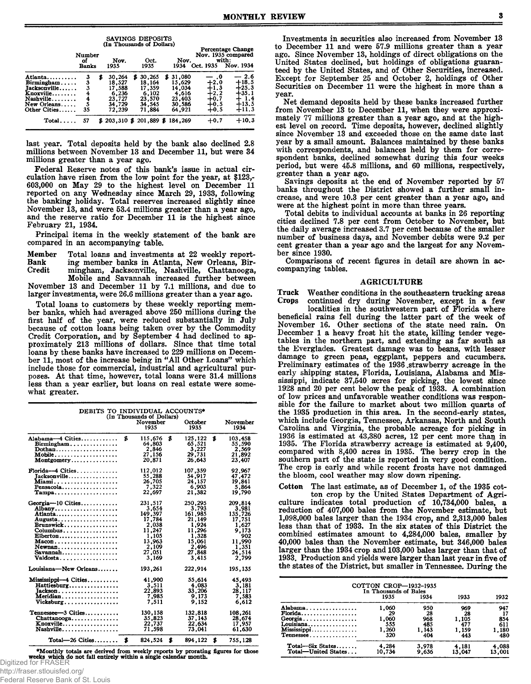|                                                                                                |                              |                                                                        | SAVINGS DEPOSITS                                                       |                                                                     |                                                                  |                                                                      |
|------------------------------------------------------------------------------------------------|------------------------------|------------------------------------------------------------------------|------------------------------------------------------------------------|---------------------------------------------------------------------|------------------------------------------------------------------|----------------------------------------------------------------------|
|                                                                                                | Number<br>оf<br><b>Banks</b> | Nov.<br>1935                                                           | (In Thousands of Dollars)<br>Oct.<br>1935                              | Nov.<br>1934                                                        | Oct. 1935                                                        | <b>Percentage Change</b><br>Nov. 1935 compared<br>with:<br>Nov. 1934 |
| Atlanta<br>Birmingham<br>Jacksonville<br>Knoxville<br>Nashville<br>New Orleans<br>Other Cities | 3<br>3<br>4<br>4<br>5<br>35  | 30,264<br>S<br>18.527<br>17.588<br>6,236<br>23,727<br>34,729<br>72.239 | 30,265<br>S<br>18.164<br>17.359<br>6.102<br>23.570<br>34.545<br>71,884 | \$31.080<br>15,629<br>14.034<br>4.616<br>23,403<br>30,586<br>64,921 | — .0<br>$+2.0$<br>$+1.3$<br>$+2.2$<br>$+0.7$<br>$+0.5$<br>$+0.5$ | $-2.6$<br>$+18.5$<br>$+25.3$<br>$+35.1$<br>1.4<br>$+13.5$<br>$+11.3$ |
| Total                                                                                          | 57                           |                                                                        | $$203,310 \text{ } $201,889 \text{ } $184,269$                         |                                                                     | $+0.7$                                                           | $+10.3$                                                              |

last year. Total deposits held by the bank also declined 2.8 millions between November 13 and December 11, but were 34 millions greater than a year ago.

Federal Reserve notes of this bank's issue in actual circulation have risen from the low point for the year, at \$123,- 603,000 on May 29 to the highest level on December 11 reported on any Wednesday since March 29, 1933, following the banking holiday. Total reserves increased slightly since November 13, and were 53.4 millions greater than a year ago, and the reserve ratio for December 11 is the highest since February 21, 1934.

Principal items in the weekly statement of the bank are compared in an accompanying table.

Member Total loans and investments at 22 weekly report-<br>Bank ing member banks in Atlanta, New Orleans, Bir-Bank ing member banks in Atlanta, New Orleans, Birmingham, Jacksonville, Nashville, Chattanooga, Mobile and Savannah increased further between

November 13 and December 11 by 7.1 millions, and due to larger investments, were 26.6 millions greater than a year ago.

Total loans to customers by these weekly reporting member banks, which had averaged above 250 millions during the first half of the year, were reduced substantially in July because of cotton loans being taken over by the Commodity Credit Corporation, and by September 4 had declined to approximately 213 millions of dollars. Since that time total loans by these banks have increased to 229 millions on December 11, most of the increase being in "All Other Loans" which include those for commercial, industrial and agricultural purposes. At that time, however, total loans were 31.4 millions less than a year earlier, but loans on real estate were somewhat greater.

| DEBITS TO INDIVIDUAL ACCOUNTS*<br>(In Thousands of Dollars)                                                                                                              |    |                                                                                                         |    |                                                                                                         |    |                                                                                                      |  |  |  |
|--------------------------------------------------------------------------------------------------------------------------------------------------------------------------|----|---------------------------------------------------------------------------------------------------------|----|---------------------------------------------------------------------------------------------------------|----|------------------------------------------------------------------------------------------------------|--|--|--|
|                                                                                                                                                                          |    | November<br>1935                                                                                        |    | October<br>1935                                                                                         |    | November<br>1934                                                                                     |  |  |  |
| Alabama-4 Cities<br>Birmingham<br>Dothan<br>Mobile<br>$\text{Montgometry} \dots \dots \dots \dots \dots$                                                                 | \$ | 115,676<br>64,803<br>2,846<br>27,156<br>20,871                                                          | \$ | 125,122<br>65,521<br>3,227<br>29,731<br>26.643                                                          | \$ | 103.458<br>55,590<br>2,569<br>21,892<br>23,407                                                       |  |  |  |
| $\text{Florida} \rightarrow \text{Cities} \dots \dots \dots \dots$<br>Jacksonville<br><b>Miami</b><br>Pensacola<br>$Tampa \ldots \ldots \ldots \ldots \ldots$            |    | 112,012<br>55,288<br>26,705<br>7,322<br>22,697                                                          |    | 107,359<br>54,917<br>24,157<br>6,903<br>21,382                                                          |    | 92.967<br>47,472<br>19,841<br>5,864<br>19.790                                                        |  |  |  |
| Georgia-10 Cities<br>Albany<br>Atlanta<br>Augusta<br>Brunswick<br>Columbus<br>Elberton<br>$Macon$<br>Newnan<br>$Savannah \ldots \ldots \ldots \ldots \ldots$<br>Valdosta |    | 231.517<br>3,654<br>149,397<br>17,784<br>2.038<br>11.247<br>1,105<br>13,963<br>2,109<br>27,051<br>3.169 |    | 250,295<br>3,793<br>161,985<br>21.149<br>1,924<br>11,296<br>1,328<br>15,061<br>2,496<br>27,848<br>3.415 |    | 209.814<br>3,981<br>135,726<br>17,751<br>1,627<br>9.173<br>902<br>11.990<br>1,351<br>24,514<br>2.799 |  |  |  |
| Louisiana-New Orleans                                                                                                                                                    |    | 193,261                                                                                                 |    | 222,914                                                                                                 |    | 195,135                                                                                              |  |  |  |
| $Missisisppi-4$ Cities<br>Hattiesburg<br>Tackson<br>Meridian<br>Vicksburg                                                                                                |    | 41,900<br>3,511<br>22.893<br>7,985<br>7.511                                                             |    | 55,614<br>4.083<br>33,206<br>9,173<br>9.152                                                             |    | 45,493<br>3,181<br>28.117<br>7,583<br>6.612                                                          |  |  |  |
| Tennessee-3 Cities<br>Chattanooga<br>Knoxville<br>Nashville                                                                                                              |    | 130.158<br>35,823<br>22,737<br>71.598                                                                   |    | 132,818<br>37, 143<br>22.634<br>73,041                                                                  |    | 108,261<br>28,674<br>17,957<br>61,630                                                                |  |  |  |
| $Total - 26$ Cities                                                                                                                                                      | \$ | 824,524                                                                                                 | \$ | 894.122                                                                                                 | \$ | 755,128                                                                                              |  |  |  |

**•Monthly totals are derived from weekly reports by prorating figures for those**<br>Digitized for FRASER<br>Digitized for FRASER

http://fraser.stlouisfed.org/

Federal Reserve Bank of St. Louis

Investments in securities also increased from November 13 to December 11 and were 57.9 millions greater than a year ago. Since November 13, holdings of direct obligations on the United States declined, but holdings of obligations guaranteed by the United States, and of Other Securities, increased. Except for September 25 and October 2, holdings of Other Securities on December 11 were the highest in more than a year.

Net demand deposits held by these banks increased further from November 13 to December 11, when they were approximately 77 millions greater than a year ago, and at the highest level on record. Time deposits, however, declined slightly since November 13 and exceeded those on the same date last year by a small amount. Balances maintained by these banks with correspondents, and balances held by them for correspondent banks, declined somewhat during this four weeks period, but were 45.8 millions, and 60 millions, respectively, greater than a year ago.

Savings deposits at the end of November reported by 57 banks throughout the District showed a further small increase, and were 10.3 per cent greater than a year ago, and were at the highest point in more than three years.

Total debits to individual accounts at banks in 26 reporting cities declined 7.8 per cent from October to November, but the daily average increased 3.7 per cent because of the smaller number of business days, and November debits were 9.2 per cent greater than a year ago and the largest for any November since 1930.

Comparisons of recent figures in detail are shown in accompanying tables.

#### AGRICULTURE

Truck Weather conditions in the southeastern trucking areas continued dry during November, except in a few

localities in the southwestern part of Florida where beneficial rains fell during the latter part of the week of November 16. Other sections of the state need rain. On December 1 a heavy frost hit the state, killing tender vegetables in the northern part, and extending as far south as the Everglades. Greatest damage was to beans, with lesser damage to green peas, eggplant, peppers and cucumbers. Preliminary estimates of the 1936 strawberry acreage in the early shipping states, Florida, Louisiana, Alabama and Mississippi, indicate 37,540 acres for picking, the lowest since 1928 and 20 per cent below the peak of 1933. A combination of low prices and unfavorable weather conditions was responsible for the failure to market about two million quarts of the 1935 production in this area. In the second-early states, which include Georgia, Tennessee, Arkansas, North and South Carolina and Virginia, the probable acreage for picking in 1936 is estimated at 43,380 acres, 12 per cent more than in 1935. The Florida strawberry acreage is estimated at  $9,400$ , compared with 8,400 acres in 1935. The berry crop in the southern part of the state is reported in very good condition. The crop is early and while recent frosts have not damaged the bloom, cool weather may slow down ripening.

Cotton The last estimate, as of December 1, of the 1935 cotton crop by the United States Department of Agriculture indicates total production of 10,734,000 bales, a reduction of 407,000 bales from the November estimate, but 1.098.000 bales larger than the 1934 crop, and 2,313,000 bales less than that of 1933. In the six states of this District the combined estimates amount to 4,284,000 bales, smaller by 40.000 bales than the November estimate, but 346,000 baies larger than the 1934 crop and 103,000 bales larger than that of 1933. Production and yields were larger than last year in five of the states of the District, but smaller in Tennessee. During the

|                                          | COTTON CROP-1932-1935<br>In Thousands of Bales |                |                 |                     |
|------------------------------------------|------------------------------------------------|----------------|-----------------|---------------------|
|                                          | 1935                                           | 1934           | 1933            | 1932                |
| Alabama<br>$Florida$                     | 1,060<br>29                                    | 950<br>28      | 969<br>28       | 947                 |
| Georgia                                  | 1,060<br>555                                   | 968<br>485     | 1.105<br>477    | 854                 |
| $L$ ouisiana<br>Mississippi<br>Tennessee | 1,260<br>320                                   | 1.143<br>404   | 1,159<br>443    | 611<br>1.180<br>480 |
|                                          |                                                |                |                 |                     |
| Total-Six States<br>Total-United States  | 4,284<br>10.734                                | 3,978<br>9.636 | 4.181<br>13.047 | 4,088<br>13.001     |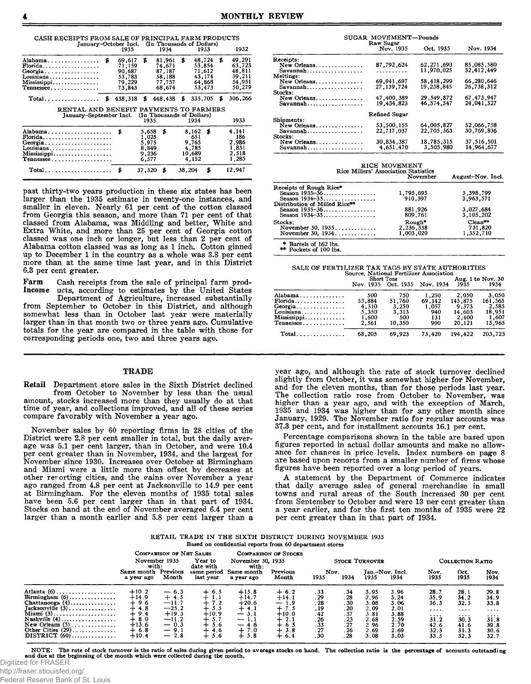| CASH RECEIPTS FROM SALE OF PRINCIPAL FARM PRODUCTS<br>January-October Incl. (In Thousands of Dollars) |   |                                                          |                                                    |                                                          |        |                                                          |    |    |                                                          |
|-------------------------------------------------------------------------------------------------------|---|----------------------------------------------------------|----------------------------------------------------|----------------------------------------------------------|--------|----------------------------------------------------------|----|----|----------------------------------------------------------|
|                                                                                                       |   | 1935                                                     |                                                    | 1934                                                     |        | 1933                                                     |    |    | 1932                                                     |
| Alabama<br>$Florida$<br>Georgia<br>Louisiana<br>Mississippi<br>Tennessee                              | S | 69,617<br>71,159<br>90.687<br>53,783<br>79.229<br>73.843 | S                                                  | 81,961<br>74.671<br>87.187<br>58,188<br>77,757<br>68,674 | \$     | 48,724<br>53,854<br>71,612<br>43.174<br>64.868<br>53,473 |    | s. | 49,291<br>63,723<br>48,811<br>39,211<br>54,951<br>50,279 |
| $Total \ldots \ldots \ldots \ldots$                                                                   | S | 438,318                                                  | S                                                  | 448,438                                                  | Б      | 335,705                                                  |    | £  | 306,266                                                  |
| RENTAL AND BENEFIT PAYMENTS TO FARMERS                                                                |   |                                                          |                                                    |                                                          |        |                                                          |    |    |                                                          |
| January-September Incl. (In Thousands of Dollars)                                                     |   |                                                          | 1935                                               |                                                          |        | 1934                                                     |    |    | 1933                                                     |
| Alabama \$<br>Florida<br>Georgia<br>Louisiana<br>Mississippi<br>Tennessee                             |   |                                                          | 5.658<br>1.025<br>5,975<br>8,849<br>9.236<br>6.577 | \$                                                       |        | 8,162<br>651<br>9,765<br>4,785<br>10,689<br>4.152        | S  |    | 4,141<br>186<br>2,986<br>1,831<br>2,518<br>1,285         |
| $Total$ , , , , , ,                                                                                   |   | S                                                        | 37,320                                             | £                                                        | 38,204 |                                                          | \$ |    | 12,947                                                   |

past thirty-two years production in these six states has been larger than the 1935 estimate in twenty-one instances, and smaller in eleven. Nearly 61 per cent of the cotton classed from Georgia this season, and more than 71 per cent of that classed from Alabama, was Middling and better, White and Extra White, and more than 25 per cent of Georgia cotton classed was one inch or longer, but less than 2 per cent of Alabama cotton classed was as long as 1 inch. Cotton ginned up to December 1 in the country as a whole was 3.8 per cent more than at the same time last year, and in this District 6.3 per cent greater.

Farm Cash receipts from the sale of principal farm prod-Income ucts, according to estimates by the United States

Department of Agriculture, increased substantially from September to October in this District, and although somewhat less than in October last year were materially larger than in that month two or three years ago. Cumulative totals for the year are compared in the table with those for corresponding periods one, two and three years ago.

#### **TRADE**

Retail Department store sales in the Sixth District declined from October to November by less than the usual amount, stocks increased more than they usually do at that time of year, and collections improved, and all of these series compare favorably with November a year ago.

November sales by 60 reporting firms in 28 cities of the District were 2.8 per cent smaller in total, but the daily average was 5.1 per cent larger, than in October, and were 10.4 per cent greater than in November, 1934, and the largest for November since 1930. Increases over October at Birmingham and Miami were a little more than offset by decreases at other reporting cities, and the gains over November a year ago ranged from 4.8 per cent at Jacksonville to 14.9 per cent at Birmingham. For the eleven months of 1935 total sales have been 5.6 per cent larger than in that part of 1934. Stocks on hand at the end of November averaged 6.4 per cent larger than a month earlier and 5.8 per cent larger than a

| SUGAR MOVEMENT-Pounds |                        |              |            |  |  |  |  |  |
|-----------------------|------------------------|--------------|------------|--|--|--|--|--|
|                       | Raw Sugar<br>Nov. 1935 | Oct. 1935    | Nov. 1934  |  |  |  |  |  |
| Receipts:             |                        |              |            |  |  |  |  |  |
| New Orleans           | 87,792,624             | 62, 271, 690 | 85.085.580 |  |  |  |  |  |
| Savannah              | .                      | 11,970,025   | 32,412,449 |  |  |  |  |  |
| Meltings:             |                        |              |            |  |  |  |  |  |
| New Orleans           | 69, 941, 697           | 58,418,299   | 66,280,646 |  |  |  |  |  |
| Savannah              | 27.139.724             | 19.238.845   | 26,738,312 |  |  |  |  |  |
| Stocks:               |                        |              |            |  |  |  |  |  |
| New Orleans           | 47,400,389             | 29,549,872   | 67.473.947 |  |  |  |  |  |
| $Savannah$            | 19,434,823             | 46,574,547   | 24.041.327 |  |  |  |  |  |
|                       | Refined Sugar          |              |            |  |  |  |  |  |
| Shipments:            |                        |              |            |  |  |  |  |  |
| New Orleans           | 53,500,155             | 64,005.827   | 52,066,758 |  |  |  |  |  |
| Savannah              | 22,717,037             | 22,705,563   | 30,769,836 |  |  |  |  |  |
| Stocks:               |                        |              |            |  |  |  |  |  |
| New Orleans           | 30.834.387             | 18,785,315   | 37,516,501 |  |  |  |  |  |
| Savannah              | 4.651.470              | 3,505,980    | 14,964,677 |  |  |  |  |  |

| Rice Millers' Association Statistics                                                                 | RICE MOVEMENT<br>November        | August-Nov. Incl.                 |  |  |
|------------------------------------------------------------------------------------------------------|----------------------------------|-----------------------------------|--|--|
| Receipts of Rough Rice*<br>Season $1935 - 36$<br>Season $1934 - 35$<br>Distribution of Milled Rice** | 1,795,695<br>910,397             | 5,398,799<br>3,963,571            |  |  |
| Season 1935-36<br>Season 1934-35                                                                     | 881,926<br>809,761               | 3,027,684<br>3.105.202            |  |  |
| Stocks:<br>November 30, 1935<br>November 30, $1934$                                                  | Rough*<br>2,236,538<br>1,003,020 | $Clean**$<br>731,820<br>1,352,710 |  |  |
| * Barrels of 162 lbs.<br>** Pockets of 100 lbs.                                                      |                                  |                                   |  |  |

| SALE OF FERTILIZER TAX TAGS BY STATE AUTHORITIES |
|--------------------------------------------------|
| Source, National Fertilizer Association          |

|                              |           | Short Tons |                     |         | Aug. 1 to Nov. 30 |  |  |
|------------------------------|-----------|------------|---------------------|---------|-------------------|--|--|
|                              | Nov. 1935 |            | Oct. 1935 Nov. 1934 | 1935    | 1934              |  |  |
| Alabama                      | 500       | 750        | 1,250               | 2.050   | 3,050             |  |  |
| $Florida$                    | 53.884    | 51,760     | 69.142              | 145.875 | 161,565           |  |  |
| Georgia                      | 4.310     | 3.250      | 1,057               | 9.373   | 2.585             |  |  |
| Louisiana                    | 5,350     | 3.313      | 940                 | 14.603  | 18.951            |  |  |
| Mississippi                  | 1,600     | 500        | 131                 | 2,400   | 1,607             |  |  |
| Tennessee                    | 2.561     | 10.350     | 900                 | 20,121  | 15,965            |  |  |
| $Total \ldots \ldots \ldots$ | 68.205    | 69.923     | 73.420              | 194.422 | 203.723           |  |  |
|                              |           |            |                     |         |                   |  |  |

year ago, and although the rate of stock turnover declined slightly from October, it was somewhat higher for November, and for the eleven months, than for those periods last year. The collection ratio rose from October to November, was higher than a year ago, and with the exception of March, 1935 and 1934 was higher than for any other month since January, 1929. The November ratio for regular accounts was 37.3 per cent, and for installment accounts 16.1 per cent.

Percentage comparisons shown in the table are based upon figures reported in actual dollar amounts and make no allowance for changes in price levels. Index numbers on page 8 are based upon reports from a smaller number of firms whose figures have been reported over a long period of years.

A statement by the Department of Commerce indicates that daily average sales of general merchandise in small towns and rural areas of the South increased 30 per cent from September to October and were 13 ner cent greater than a year earlier, and for the first ten months of 1935 were 22 per cent greater than in that part of 1934.

|  |  |  |                                                         | RETAIL TRADE IN THE SIXTH DISTRICT DURING NOVEMBER 1935 |  |
|--|--|--|---------------------------------------------------------|---------------------------------------------------------|--|
|  |  |  | Based on confidential reports from 60 department stores |                                                         |  |

|                                                                                                                                                                                                       | Comparison of Net Sales<br>Year to<br>November 1935<br>with:<br>date with                  |                                                                                            | <b>COMPARISON OF STOCKS</b><br>November 30, 1935<br>with:          |                                                                                        |                                                                                          | <b>STOCK TURNOVER</b>                                        |                                                                  |                                                                     |                                                                      | COLLECTION RATIO                                                             |                                                                              |                                                                       |
|-------------------------------------------------------------------------------------------------------------------------------------------------------------------------------------------------------|--------------------------------------------------------------------------------------------|--------------------------------------------------------------------------------------------|--------------------------------------------------------------------|----------------------------------------------------------------------------------------|------------------------------------------------------------------------------------------|--------------------------------------------------------------|------------------------------------------------------------------|---------------------------------------------------------------------|----------------------------------------------------------------------|------------------------------------------------------------------------------|------------------------------------------------------------------------------|-----------------------------------------------------------------------|
|                                                                                                                                                                                                       | Same month<br>a year ago                                                                   | Previous<br>Month                                                                          | same period<br>last vear                                           | Same month<br>a year ago                                                               | Previous<br>Month                                                                        | Nov.<br>1935                                                 | 1934                                                             | 1935                                                                | Jan.–Nov. Incl.<br>1934                                              | Nov.<br>1935                                                                 | Oct.<br>1935                                                                 | Nov.<br>1934                                                          |
| Atlanta $(6)$<br>Birmingham $(6)$<br>Chattanooga $(4)$<br>$Jacksonville(3) \ldots \ldots \ldots \ldots$<br>Miami (3)<br>Nashville $(4)$<br>New Orleans $(5)$<br>Other Cities $(29)$<br>$DISTRICT(60)$ | $+10.2$<br>$+14.9$<br>$+9.6$<br>$+4.8$<br>$+9.4$<br>$+8.0$<br>$+13.6$<br>$+6.8$<br>$+10.4$ | $-6.3$<br>$+4.5$<br>$-11.7$<br>$-25.2$<br>$+19.3$<br>$-11.2$<br>$-0.3$<br>$-9.1$<br>$-2.8$ | $+6.5$<br>1,1<br>7.2<br>5.5<br>$+10.9$<br>5.7<br>5.6<br>4.6<br>5.6 | $+15.8$<br>$+14.7$<br>$+20.6$<br>$+4.1$<br>$-3.1$<br>$-1.1$<br>$-4.6$<br>$+7.0$<br>5.8 | $+6.2$<br>$+14.1$<br>$-1.9$<br>$+7.5$<br>$+10.0$<br>$+2.1$<br>$+6.5$<br>$+3.8$<br>$+6.4$ | .33<br>.29<br>.28<br>. 19<br>.42<br>.26<br>.33<br>.27<br>.30 | . 34<br>.28<br>. 30<br>.20<br>.37<br>.23<br>. 27<br>. 26<br>. 28 | 3.95<br>2.96<br>3.08<br>2.09<br>3.81<br>2.68<br>296<br>2.69<br>3.08 | 3.96<br>3.24<br>3.06<br>2.01<br>3.88<br>2.59<br>2.70<br>2.69<br>3.03 | 28.7<br>35.9<br>36.3<br>$\cdots$<br>$\cdots$<br>31.2<br>42.6<br>32.3<br>33.5 | 28.1<br>34.2<br>32.5<br>$\cdots$<br>$\cdots$<br>30.3<br>41.6<br>31.3<br>32.3 | 29.8<br>34.9<br>33.8<br>$\cdots$<br>.<br>31.8<br>39.8<br>30.6<br>32.7 |

**N O T E : The rate of stock turnover is the ratio of sales during given period to average stocks on hand. The collection ratio is the percentage of accounts outstanding** and due at the beginning of the month which were collected during

Digitized for FRASER

http://fraser.stlouisfed.org/ Federal Reserve Bank of St. Louis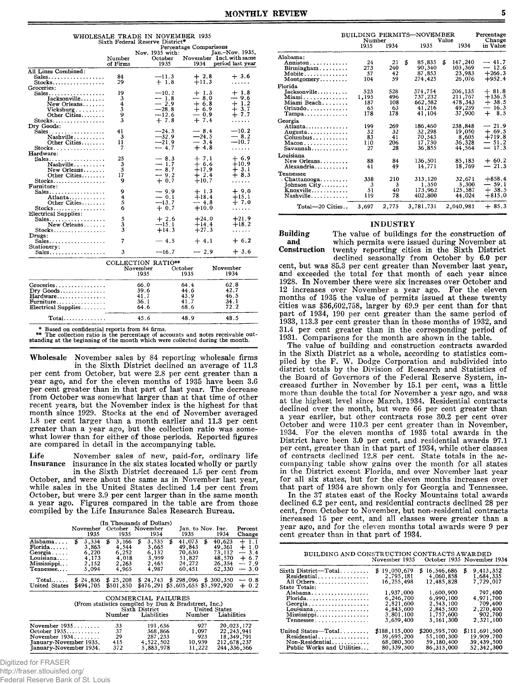| WHOLESALE TRADE IN NOVEMBER 1935 |  |
|----------------------------------|--|
| Sixth Federal Reserve District*  |  |

|                                               |                         |             |                 | Percentage Comparisons |                          |
|-----------------------------------------------|-------------------------|-------------|-----------------|------------------------|--------------------------|
|                                               |                         |             | Nov. 1935 with: |                        | Jan.-Nov. 1935,          |
|                                               | Number                  |             | October         |                        | November Incl. with same |
|                                               | of Firms                |             | 1935            | 1934                   | period last year         |
| All Lines Combined:                           |                         |             |                 |                        |                          |
| Sales                                         | 84                      |             | $-11.3$         | $+2.8$                 | $+3.6$                   |
| $Stocks$                                      | 29                      |             | $+1.8$          | $+11.3$                | .                        |
| Groceries:                                    |                         |             |                 |                        |                          |
| Sales                                         | 19                      |             | $-10.2$         | $+1.3$                 | $+1.8$                   |
| Tacksonville                                  | 3                       |             | $-1.8$          | $-8.0$                 | — 9.6                    |
| New Orleans                                   | 4                       |             | $-2.9$          | $+6.8$                 | $+1.2$                   |
| $Vicksburg$                                   | $\overline{\mathbf{3}}$ |             | $-28.8$         | $+6.9$                 | $+3.7$                   |
| Other Cities                                  | 9                       |             | $-12.6$         | — 0.9                  | $+7.7$                   |
| $Stocks.$                                     | 3                       |             | $+7.8$          | $+7.4$                 | .                        |
| Dry Goods:                                    |                         |             |                 |                        |                          |
| Sales. $\ldots$ .                             | 41                      |             | $-24.3$         | $-8.4$                 | $-10.2$                  |
| Nashville                                     | 3                       |             | $-32.9$         | $-24.5$                | $-8.2$                   |
| Other Cities                                  | 11                      |             | $-21.9$         | $-3.4$                 | $-10.7$                  |
| $Stocks \ldots \ldots \ldots$                 | 7                       |             | $-4.7$          | $+4.8$                 | .                        |
| Hardware:                                     |                         |             |                 |                        |                          |
| Sales.                                        | 25                      |             | $-8.3$          | $+7.1$                 | $+6.9$                   |
| Nashville                                     | 3                       |             | $-1.7$          | $+6.6$                 | $+10.9$                  |
| New Orleans                                   | 5                       |             | $-8.7$          | $+17.9$                | $+3.1$                   |
| Other Cities                                  | 17                      |             | $-9.2$          | $+2.4$                 | $+8.3$                   |
| Stocks                                        | ۹                       |             | $+0.7$          | $+10.7$                | .                        |
| Furniture:                                    |                         |             |                 |                        |                          |
| Sales                                         | 9                       |             | $-9.9$          | $+1.3$                 | $+9.0$                   |
|                                               | 4                       |             | $-0.1$          | $+18.4$                | $+15.1$                  |
| Atlanta<br>Other Cities                       | 5                       |             | $-13.7$         | $-4.8$                 | $+7.0$                   |
|                                               | 6                       |             | $+0.7$          | $+10.0$                |                          |
| Stocks                                        |                         |             |                 |                        | .                        |
| Electrical Supplies:                          | 5                       |             | $+2.6$          | $+24.0$                | $+21.9$                  |
| Sales                                         |                         |             |                 |                        | $+18.2$                  |
| New Orleans                                   | 3<br>3                  |             | $-15.1$         | $+14.4$                |                          |
| $Stocks. \ldots \ldots \ldots \ldots$         |                         |             | $+14.3$         | $+27.3$                | .                        |
| Drugs:                                        |                         |             |                 |                        |                          |
| Sales                                         | 7                       |             | $-4.5$          | $+4.1$                 | $+ 6.2$                  |
| Stationery:                                   |                         |             |                 |                        | $+3.6$                   |
| Sales                                         | 3                       |             | $-16.7$         | $-2.9$                 |                          |
|                                               |                         |             |                 |                        |                          |
|                                               | COLLECTION RATIO**      |             |                 |                        |                          |
|                                               |                         | November    |                 | October                | November                 |
|                                               |                         | 1935        |                 | 1935                   | 1934                     |
|                                               |                         |             |                 |                        | 62.8                     |
| $G$ roceries                                  |                         | 66.0        |                 | 64.4                   |                          |
| Dry Goods                                     |                         | 39.6        |                 | 44.6                   | 42.7                     |
| Hardware                                      |                         | 41.7        |                 | 43.9                   | 46.5                     |
| Furniture                                     |                         | 36.1        |                 | 41.7                   | 34.1                     |
| Electrical Supplies                           |                         | 64.6        |                 | 68.6                   | 72.2                     |
|                                               |                         |             |                 |                        |                          |
| $Total \dots \dots \dots \dots$               |                         | 45.6        |                 | 48.9                   | 48.5                     |
| ومعارفا والمسترقية والمتناور<br>$*$ Decay $-$ |                         | $-$ 0.4 $-$ |                 |                        |                          |

\* Based on confidential reports from 84 firms.<br>\*\* The collection ratio is the percentage of accounts and notes receivable out-<br>standing at the beginning of the month which were collected during the month.

**Wholesale November sales by 84 reporting wholesale firms in the Sixth District declined an average of 11.3 per cent from October, but were 2.8 per cent greater than a year ago, and for the eleven months of 1935 have been 3.6 per cent greater than in that part of last year. The decrease from October was somewhat larger than at that time of other recent years, but the November index is the highest for that month since 1929. Stocks at the end of November averaged 1.8 per cent larger than a month earlier and 11.3 per cent greater than a year ago, but the collection ratio was somewhat lower than for either of those periods. Reported figures are compared in detail in the accompanying table.**

**Life November sales of new, paid-for, ordinary life Insurance insurance in the six states located wholly or partly**

**in the Sixth District decreased 1.5 per cent from October, and were about the same as in November last year, while sales in the United States declined 1.4 per cent from October, but were 3.9 per cent larger than in the same month a year ago. Figures compared in the table are from those compiled by the Life Insurance Sales Research Bureau.**

|                                                                                                                                                                      | November<br>1935                                         | 1935                                                     | (In Thousands of Dollars)<br>October November<br>1934         | Jan. to Nov. Inc.<br>1935                                                    | Percent<br>1934<br>Change                                                                                              |  |  |  |
|----------------------------------------------------------------------------------------------------------------------------------------------------------------------|----------------------------------------------------------|----------------------------------------------------------|---------------------------------------------------------------|------------------------------------------------------------------------------|------------------------------------------------------------------------------------------------------------------------|--|--|--|
| Alabama<br>Florida<br>$Georgia$<br>Louisiana<br>Mississippi<br>Tennessee                                                                                             | \$<br>3,334<br>3,863<br>6,220<br>4.173<br>2.152<br>5.094 | \$<br>3.166<br>4.544<br>6.252<br>4,018<br>2.263<br>4.965 | \$<br>3,535<br>S<br>3.665<br>6,132<br>3,959<br>2,465<br>4,987 | \$<br>41,073<br>49.843<br>70.630<br>51,827<br>24,272<br>60.451               | 40.623<br>$+1.1$<br>49,361<br>$+1.0$<br>73,112<br>3.4<br>-<br>48,570<br>$+6.7$<br>26,354<br>$-7.9$<br>$-3.0$<br>62.330 |  |  |  |
| Total<br>United States                                                                                                                                               | \$24.836<br>\$494.705                                    | \$25.208<br>\$501,850                                    |                                                               | $$24.743 \quad $298.096 \quad $300.350$<br>\$476.291 \$5.605.655 \$5.592.920 | $-0.8$<br>$+ 0.2$                                                                                                      |  |  |  |
| COMMERCIAL FAILURES<br>(From statistics compiled by Dun & Bradstreet, Inc.)<br><b>United States</b><br>Sixth District<br>Liabilities Number<br>Liabilities<br>Number |                                                          |                                                          |                                                               |                                                                              |                                                                                                                        |  |  |  |
| November 1935<br>October 1935<br>November 1934<br>Tanuary-November 1935.<br>January-November 1934.                                                                   |                                                          | 33<br>37<br>29<br>415<br>372                             | 191.636<br>368,866<br>287, 233<br>4,522,502<br>5,883,978      | 927<br>1.097<br>923<br>10,939<br>11,222                                      | 20,023,172<br>22.243.941<br>18,349.791<br>212,678,237<br>244, 336, 566                                                 |  |  |  |

Digitized for FRASER

|                                 | BUILDING PERMITS-NOVEMBER<br>Value<br>Number |       |    |           |    | Percentage<br>Change |                                  |
|---------------------------------|----------------------------------------------|-------|----|-----------|----|----------------------|----------------------------------|
|                                 | 1935                                         | 1934  |    | 1935      |    | 1934                 | in Value                         |
| Alabama:                        |                                              |       |    |           |    |                      |                                  |
| Anniston                        | 24                                           | 21    | \$ | 85,835    | \$ | 147,240              | $-41.7$                          |
| Birmingham                      | 273                                          | 240   |    | 90,340    |    | 103,369              | $-12.6$                          |
| Mobile                          | 57                                           | 42    |    | 87,853    |    | 23,983               | $+266.3$                         |
| Montgomery                      | 104                                          | 59    |    | 274,425   |    | 26,076               | $+952.4$                         |
| Florida                         |                                              |       |    |           |    |                      |                                  |
| Jacksonville                    | 523                                          | 528   |    | 374,754   |    | 206,135              | $+81.8$                          |
| Miami                           | 1.195                                        | 496   |    | 737,232   |    | 211,767              | $+136.5$                         |
| Miami Beach                     | 187                                          | 108   |    | 662,582   |    | 478,343              | $+38.5$                          |
| Orlando                         | 65                                           | 63    |    | 41,216    |    | 49,239               | 16.3<br>$\overline{\phantom{m}}$ |
| $Tampa \ldots \ldots \ldots$    | 178                                          | 178   |    | 41.104    |    | 37,900               | $+8.5$                           |
| Georgia                         |                                              |       |    |           |    |                      |                                  |
| Atlanta                         | 199                                          | 269   |    | 186.460   |    | 238,848              | $-21.9$                          |
| Augusta.                        | 32                                           | 32    |    | 32,298    |    | 19,050               | $+69.5$                          |
| Columbus                        | 83                                           | 41    |    | 70.543    |    | 8,605                | $+719.8$                         |
| $Macon, \ldots, \ldots, \ldots$ | 110                                          | 206   |    | 17,730    |    | 36,328               | $-51.2$                          |
| $Savannah$                      | 27                                           | 28    |    | 36.855    |    | 44.564               | $-17.3$                          |
| Louisiana                       |                                              |       |    |           |    |                      |                                  |
| New Orleans                     | 88                                           | 84    |    | 136,501   |    | 85, 183              | $+60.2$                          |
| Alexandria                      | 41                                           | 49    |    | 14,771    |    | 18,769               | $-21.3$                          |
| Tennessee                       |                                              |       |    |           |    |                      |                                  |
| . Chattanooga                   | 338                                          | 210   |    | 313,120   |    | 32,671               | $+858.4$                         |
| Johnson City                    | 3                                            | 3     |    | 1,350     |    | 3,300                | $-59.1$                          |
| Knoxville                       | 51                                           | 40    |    | 173,962   |    | 125,587              | $+38.5$                          |
| Nashville                       | 119                                          | 78    |    | 402,800   |    | 44.024               | $+815.0$                         |
| Total—20 Cities                 | 3.697                                        | 2,775 |    | 3.781.731 |    | 2,040,981            | $+85.3$                          |
|                                 |                                              |       |    |           |    |                      |                                  |

## INDUSTRY

Building The value of buildings for the construction of<br>and which permits were issued during November at and which permits were issued during November at Construction twenty reporting cities in the Sixth District twenty reporting cities in the Sixth District declined seasonally from October by 6.0 per

cent, but was 85.3 per cent greater than November last year, and exceeded the total for that month of each year since 1928. In November there were six increases over October and 12 increases over November a year ago. For the eleven months of 1935 the value of permits issued at these twenty cities was \$36,602,758, larger by 69.9 per cent than for that part of 1934, 190 per cent greater than the same period of 1933, 113.3 per cent greater than in those months of 1932, and 31.4 per cent greater than in the corresponding period of 1931. Comparisons for the month are shown in the table.

The value of building and construction contracts awarded in the Sixth District as a whole, according to statistics compiled by the F. W. Dodge Corporation and subdivided into district totals by the Division of Research and Statistics of the Board of Governors of the Federal Reserve System, increased further in November by 15.1 per cent, was a little more than double the total for November a year ago, and was at the highest level since March, 1934. Residential contracts declined over the month, but were 66 per cent greater than a year earlier, but other contracts rose 30.2 per cent over October and were 110.3 per cent greater than in November, 1934. For the eleven months of 1935 total awards in the District have been 3.0 per cent, and residential awards 97.1 per cent, greater than in that part of 1934, while other classes of contracts declined 12.8 per cent. State totals in the accompanying table show gains over the month for all states in the District except Florida, and over November last year for all six states, but for the eleven months increases over that part of 1934 are shown only for Georgia and Tennessee.

In the 37 states east of the Rocky Mountains total awards declined 6.2 per cent, and residential contracts declined 28 per cent, from October to November, but non-residential contracts increased 15 per cent, and all classes were greater than a year ago, and for the eleven months total awards were 9 per cent greater than in that part of 1934.

| BUILDING AND CONSTRUCTION CONTRACTS AWARDED                                                       |                                                                      | November 1935 – October 1935 November 1934                           |                                                                      |
|---------------------------------------------------------------------------------------------------|----------------------------------------------------------------------|----------------------------------------------------------------------|----------------------------------------------------------------------|
| Sixth District-Total<br>Residential<br>All Others                                                 | 19,050,679<br>S.<br>2.795.181<br>16,255,498                          | \$<br>16,546,686<br>4,060,858<br>12,485.828                          | 9.413.352<br>Б<br>1,684,335<br>7,729,017                             |
| State Totals:<br>Alabama<br>Florida<br>Georgia<br>Louisiana<br>Mississippi                        | 1,937,000<br>6,246,700<br>2,821,600<br>4.843.600<br>3.801.100        | 1,600,900<br>6,990,100<br>2.543,100<br>2,845,500<br>1,757,600        | 797,400<br>4,971,700<br>709,400<br>2,270,400<br>902.700              |
| Tennessee<br>IInited States-Total<br>Residential<br>Non-Residential<br>Public Works and Utilities | 3.659.400<br>\$188,115,000<br>39.695.200<br>68,080,300<br>80,339,500 | 3.161.300<br>\$200,595,700<br>55,100,300<br>59,180.400<br>86.315.000 | 2.321.100<br>\$111,691,500<br>19,909,700<br>39,439,500<br>52.342.300 |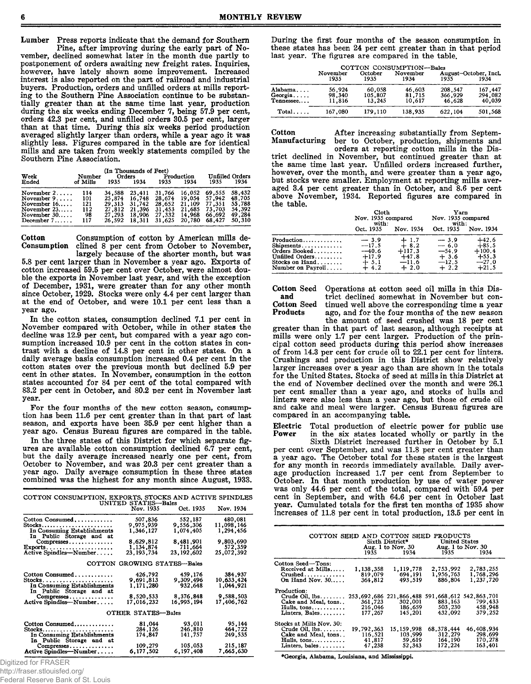Lumber Press reports indicate that the demand for Southern Pine, after improving during the early part of No-

vember, declined somewhat later in the month due partly to postponement of orders awaiting new freight rates. Inquiries, however, have lately shown some improvement. Increased interest is also reported on the part of railroad and industrial buyers. Production, orders and unfilled orders at mills reporting to the Southern Pine Association continue to be substantially greater than at the same time last year, production during the six weeks ending December 7, being 57.9 per cent, orders 42.3 per cent, and unfilled orders 30.5 per cent, larger than at that time. During this six weeks period production averaged slightly larger than orders, while a year ago it was slightly less. Figures compared in the table are for identical mills and are taken from weekly statements compiled by the Southern Pine Association.

|  | (In Thousand |
|--|--------------|
|  |              |

| (In Thousands of Feet)<br><b>Unfilled Orders</b><br>Week<br>Production<br>Orders<br>Number                           |                                       |                                                |                                                       |                  |                                                                                                           |                                      |                                                          |
|----------------------------------------------------------------------------------------------------------------------|---------------------------------------|------------------------------------------------|-------------------------------------------------------|------------------|-----------------------------------------------------------------------------------------------------------|--------------------------------------|----------------------------------------------------------|
| Ended                                                                                                                | of Mills                              | 1935                                           | 1934                                                  | 1935             | 1934                                                                                                      | 1935                                 | 1934                                                     |
| November $2 \ldots$ .<br>November $9, \ldots$<br>November $16$ .<br>November $23$<br>November $30$ .<br>December $7$ | 114<br>101<br>121<br>112<br>98<br>117 | 34.588<br>29.313<br>27.812<br>27.293<br>26.592 | 23,411<br>25.874 16.748<br>31.742<br>21,396<br>18.311 | 31,453<br>31,625 | 31.766 16.052<br>28.674 19.054 57.942<br>28,652 21,109 77,351<br>21,685<br>18,906 27,332 14,968<br>20,780 | 69.555<br>73.703<br>66.692<br>68.427 | 58.432<br>48.705<br>55.788<br>54.392<br>49,284<br>50.310 |

Cotton Consumption of cotton by American mills declined 8 per cent from October to November,

largely because of the shorter month, but was 5.8 per cent larger than in November a year ago. Exports of cotton increased 59.5 per cent over October, were almost double the exports in November last year, and with the exception of December, 1931, were greater than for any other month since October, 1929. Stocks were only 4.4 per cent larger than at the end of October, and were 10.1 per cent less than a year ago.

In the cotton states, consumption declined 7.1 per cent in November compared with October, while in other states the decline was 12.9 per cent, but compared with a year ago consumption increased 10.9 per cent in the cotton states in contrast with a decline of 14.8 per cent in other states. On a daily average basis consumption increased 0.4 per cent in the cotton states over the previous month but declined 5.9 per cent in other states. In November, consumption in the cotton states accounted for 84 per cent of the total compared with 83.2 per cent in October, and 80.2 per cent in November last year.

For the four months of the new cotton season, consumption has been 11.6 per cent greater than in that part of last season, and exports have been 35.9 per cent higher than a year ago. Census Bureau figures are compared in the table.

In the three states of this District for which separate figures are available cotton consumption declined 6.7 per cent, but the daily average increased nearly one per cent, from October to November, and was 20.3 per cent greater than a year ago. Daily average consumption in these three states combined was the highest for any month since August, 1933.

| COTTON CONSUMPTION, EXPORTS, STOCKS AND ACTIVE SPINDLES                                            | UNITED STATES-Bales                                         |                                                           |                                                            |  |  |  |  |
|----------------------------------------------------------------------------------------------------|-------------------------------------------------------------|-----------------------------------------------------------|------------------------------------------------------------|--|--|--|--|
|                                                                                                    | Nov. 1935                                                   | Oct. 1935                                                 | Nov. 1934                                                  |  |  |  |  |
| Cotton Consumed<br>Stocks<br>In Consuming Establishments<br>In Public Storage and at<br>Compresses | 507,836<br>9,975,939<br>1,346,127<br>8,629,812<br>1,134,874 | 552,187<br>9,556,306<br>1,074,405<br>8,481,901<br>711,664 | 480,081<br>11,098,146<br>1,294,456<br>9,803,690<br>572,359 |  |  |  |  |
| 23.193.734<br>Active Spindles-Number<br>23, 192, 602<br>25,072,392<br>COTTON GROWING STATES-Bales  |                                                             |                                                           |                                                            |  |  |  |  |
| Cotton Consumed<br>In Consuming Establishments<br>In Public Storage and at<br>Compresses           | 426,792<br>9,691,813<br>1.171.280<br>8,520,533              | 459,176<br>9,309,496<br>932,648<br>8,376,848              | 384,937<br>10,633,424<br>1.044.921<br>9.588.503            |  |  |  |  |
| Active Spindles--Number                                                                            | 17,016,232                                                  | 16,995,194                                                | 17,406,762                                                 |  |  |  |  |
|                                                                                                    | OTHER STATES-Bales                                          |                                                           |                                                            |  |  |  |  |
| Cotton Consumed<br>Stocks<br>In Consuming Establishments<br>In Public Storage and at               | 81,044<br>284,126<br>174,847                                | 93.011<br>246,810<br>141,757                              | 95.144<br>464,722<br>249,535                               |  |  |  |  |
| Compresses<br>Active Spindles—Number                                                               | 109,279<br>6,177,502                                        | 105,053<br>6, 197, 408                                    | 215,187<br>7,665,630                                       |  |  |  |  |

Digitized for FRASER

http://fraser.stlouisfed.org/

Federal Reserve Bank of St. Louis

During the first four months of the season consumption in these states has been 24 per cent greater than in that period last year. The figures are compared in the table.

|                                 |                            |                             | COTTON CONSUMPTION-Bales   |                              |                               |
|---------------------------------|----------------------------|-----------------------------|----------------------------|------------------------------|-------------------------------|
|                                 | November<br>1935           | October<br>1935             | November<br>1934           | 1935                         | August-October, Incl.<br>1934 |
| Alabama<br>Georgia<br>Tennessee | 56.924<br>98,340<br>11.816 | 60,058<br>105.807<br>13.245 | 46,603<br>81,715<br>10.617 | 208.547<br>366,929<br>46.628 | 167.447<br>294.082<br>40.039  |
| Total                           | 167.080                    | 179.110                     | 138.935                    | 622.104                      | 501.568                       |

Cotton After increasing substantially from Septem-<br>Manufacturing ber to October, production, shipments and Manufacturing ber to October, production, shipments and

orders at reporting cotton mills in the District declined in November, but continued greater than at the same time last year. Unfilled orders increased further, however, over the month, and were greater than a year ago, but stocks were smaller. Employment at reporting mills averaged 3.4 per cent greater than in October, and 8.6 per cent above November, 1934. Reported figures are compared in the table.

|                                  | Cloth<br>Nov. 1935 compared<br>with:<br>Oct. 1935<br>Nov. 1934 |          | Yarn<br>Nov. 1935 compared<br>with:<br>Oct. 1935 | Nov. 1934 |
|----------------------------------|----------------------------------------------------------------|----------|--------------------------------------------------|-----------|
| Production                       | $-3.9$                                                         | $+1.7$   | $-3.9$                                           | $+42.6$   |
| $Shipments \ldots \ldots \ldots$ | $-17.5$                                                        | $+8.2$   | $-6.0$                                           | $+85.5$   |
| Orders Booked                    | $-40.6$                                                        | $+117.3$ | $-54.9$                                          | $+100.4$  |
| Unfilled Orders                  | $+17.9$                                                        | $+47.8$  | $+3.6$                                           | $+55.3$   |
| Stocks on Hand.                  | $+5.1$                                                         | $-11.6$  | $-12.5$                                          | $-27.0$   |
| Number on Payroll                | $+4.2$                                                         | $+2.0$   | $+2.2$                                           | $+21.5$   |

Cotton Seed Operations at cotton seed oil mills in this Disand trict declined somewhat in November but con-<br>Cotton Seed tinued well above the corresponding time a year Cotton Seed tinued well above the corresponding time a year ago, and for the four months of the new season

the amount of seed crushed was 18 per cent greater than in that part of last season, although receipts at mills were only 1.7 per cent larger. Production of the principal cotton seed products during this period show increases of from 14.3 per cent for crude oil to 22.1 per cent for linters. Crushings and production in this District show relatively larger increases over a year ago than are shown in the totals for the United States. Stocks of seed at mills in this District at the end of November declined over the month and were 26.1 per cent smaller than a year ago, and stocks of hulls and linters were also less than a year ago, but those of crude oil and cake and meal were larger. Census Bureau figures are compared in an accompanying table.

Electric Total production of electric power for public use<br>Power in the six states located wholly or partly in the in the six states located wholly or partly in the

Sixth District increased further in October by 5.1 per cent over September, and was 11.8 per cent greater than a year ago. The October total for these states is the largest for any month in records immediately available. Daily average production increased 1.7 per cent from September to October. In that month production by use of water power was only 44.6 per cent of the total, compared with 59.4 per cent in September, and with 64.6 per cent in October last year. Cumulated totals for the first ten months of 1935 show increases of 11.8 per cent in total production, 13.5 per cent in

| COTTON SEED AND COTTON SEED PRODUCTS                                                                                         | 1935 — 193                                   | Sixth District*<br>Aug. 1 to Nov. $30$<br>1934 | <b>United States</b><br>1935                                   | Aug. 1 to Nov. 30<br>1934                   |
|------------------------------------------------------------------------------------------------------------------------------|----------------------------------------------|------------------------------------------------|----------------------------------------------------------------|---------------------------------------------|
| Cotton Seed—Tons:<br>Received at Mills<br>$Crushed$<br>On Hand Nov. 30                                                       | 1,138,358<br>819,079<br>364,812              | 1,119,778<br>694.191<br>493.519                | 2,753,992<br>1,956,763<br>886,804                              | 2,783,255<br>1,768,296<br>1.237.720         |
| Production:<br>Crude Oil, $lbs$<br>Cake and Meal, tons<br>$Hulls, tons. \ldots \ldots \ldots$<br>Linters, Bales              | 253,692,686<br>361,723<br>216,046<br>177.267 | 221.866.488<br>302,001<br>186,659<br>145.201   | 591, 668, 612, 542, 863, 701<br>883, 163<br>503.230<br>432,092 | 799,433<br>458,948<br>379,252               |
| Stocks at Mills Nov. 30:<br>Crude Oil, $lbs$<br>Cake and Meal, tons<br>$Hulls, tons. \ldots \ldots \ldots$<br>Linters, bales | 19,792,363<br>116,521<br>41.817<br>47,238    | 15, 159, 998<br>103,999<br>59.619<br>52.343    | 68, 378, 444<br>312,279<br>164,190<br>172,224                  | 46,408,934<br>298,699<br>170,278<br>163,401 |

**♦Georgia, Alabam a, Louisiana, and M ississippi.**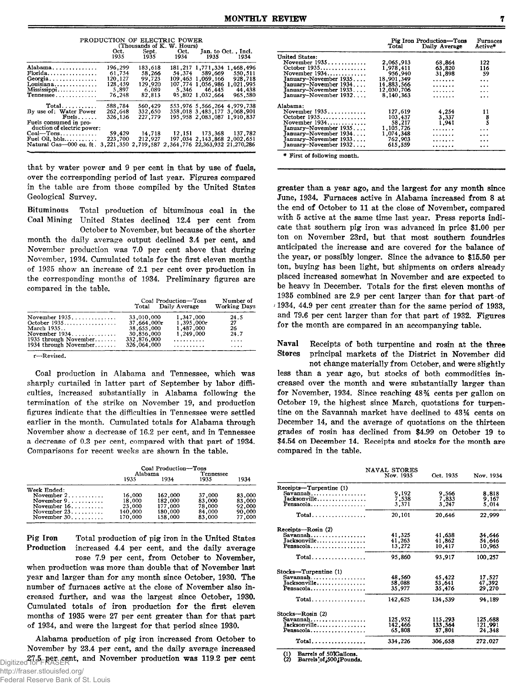| PRODUCTION OF ELECTRIC POWER                         |                            |                 |                                           |                                 |           |  |  |  |  |
|------------------------------------------------------|----------------------------|-----------------|-------------------------------------------|---------------------------------|-----------|--|--|--|--|
|                                                      | (Thousands of K. W. Hours) |                 |                                           |                                 |           |  |  |  |  |
|                                                      |                            | Oct. Sept. Oct. |                                           | Jan. to Oct., Incl.             |           |  |  |  |  |
|                                                      |                            | 1935 1935 1934  |                                           | 1935 — 193                      | 1934      |  |  |  |  |
| Alabama                                              | 196,299                    | 183.618         |                                           | 181.217 1.771.334 1.468.496     |           |  |  |  |  |
| $Florida$                                            | 61.754                     | 58.266          |                                           | 54,374 589,669                  | 550.511   |  |  |  |  |
| Georgia                                              | 120,127                    | 99.723          |                                           | 109, 463 1, 069, 166            | 928,718   |  |  |  |  |
| Louisiana                                            | 128,459                    | 129,920         |                                           | 107,774 1.056.986               | 1,021,995 |  |  |  |  |
| Mississippi                                          | 5,897                      | 6,089           |                                           | 5.346 46.445                    | 44,438    |  |  |  |  |
| Tennessee                                            | 76.248                     | 82,813          |                                           | 95,802 1,032,664                | 965,580   |  |  |  |  |
| $Total$                                              | 588,784                    | 560,429         |                                           | 553,976 5,566,264 4,979,738     |           |  |  |  |  |
| By use of: Water Power                               | 262,648                    | 332,650         |                                           | 358,018 3,483,177 3,068,901     |           |  |  |  |  |
| $\mathbf{F}$ uels                                    | 326,136                    | 227.779         |                                           | 195.958 2.083.087 1.910.837     |           |  |  |  |  |
| Fuels consumed in pro-<br>duction of electric power: |                            |                 |                                           |                                 |           |  |  |  |  |
| Coal—Tons                                            | 59,429                     | 14,718          |                                           | 12, 151 173, 368 137, 782       |           |  |  |  |  |
| Fuel Oil. bbls                                       | 223,700                    | 212,927         |                                           | 197.034 2, 143, 868 2, 002, 651 |           |  |  |  |  |
| Natural Gas-000 cu. ft.                              | 3.221.350                  |                 | 2,719,587 2,364,776 22,363,932 21,270,286 |                                 |           |  |  |  |  |
|                                                      |                            |                 |                                           |                                 |           |  |  |  |  |

that by water power and 9 per cent in that by use of fuels, over the corresponding period of last year. Figures compared in the table are from those compiled by the United States Geological Survey.

Bituminous Total production of bituminous coal in the Coal Mining United States declined 12.4 per cent from

October to November, but because of the shorter month the daily average output declined 3.4 per cent, and November production was 7.0 per cent above that during November, 1934. Cumulated totals for the first eleven months of 1935 show an increase of 2.1 per cent over production in the corresponding months of 1934. Preliminary figures are compared in the table.

|             | Number of<br><b>Working Days</b> |                                             |
|-------------|----------------------------------|---------------------------------------------|
| 33,010,000  | 1,347,000                        | 24.5                                        |
| 37,664,000r | 1,395,000r                       | 27                                          |
| 38,655,000  | 1.487.000                        | 26                                          |
| 30,856,000  | 1.249.000                        | 24.7                                        |
| 332,876,000 | . . <i>.</i>                     | $\cdots$                                    |
| 326,064,000 | . . <i>.</i>                     | $\cdots$                                    |
|             |                                  | Coal Production-Tons<br>Total Daily Average |

**r— Revised.**

Coal production in Alabama and Tennessee, which was sharply curtailed in latter part of September by labor difficulties, increased substantially in Alabama following the termination of the strike on November 19, and production figures indicate that the difficulties in Tennessee were settled earlier in the month. Cumulated totals for Alabama through November show a decrease of 16.2 per cent, and in Tennessee a decrease of 0.3 per cent, compared with that part of 1934. Comparisons for recent weeks are shown in the table.

|                                      | Coal Production-Tons |         |           |        |
|--------------------------------------|----------------------|---------|-----------|--------|
|                                      |                      | Alabama | Tennessee |        |
|                                      | 1935                 | 1934    | 1935      | 1934   |
| Week Ended:                          |                      |         |           |        |
| November $2, \ldots, \ldots$         | 16,000               | 162,000 | 37,000    | 83,000 |
| November $9, \ldots, \ldots, \ldots$ | 18,000               | 182,000 | 83,000    | 83,000 |
| November $16, \ldots, \ldots$        | 23,000               | 177,000 | 78,000    | 92,000 |
| November $23 \ldots$                 | 140.000              | 180,000 | 84,000    | 90,000 |
| November $30$                        | 170,000              | 158,000 | 83,000    | 77,000 |

Pig Iron Total production of pig iron in the United States Production increased 4.4 per cent, and the daily average rose 7.9 per cent, from October to November, when production was more than double that of November last year and larger than for any month since October, 1930. The

number of furnaces active at the close of November also increased further, and was the largest since October, 1930. Cumulated totals of iron production for the first eleven months of 1935 were 27 per cent greater than for that part of 1934, and were the largest for that period since 1930.

Alabama production of pig iron increased from October to November by 23.4 per cent, and the daily average increased Digitized for FRASERt, and November production was 119.2 per cent

|                        | Pig Iron Production-Tons<br>Total | Furnaces<br>Active* |                                             |
|------------------------|-----------------------------------|---------------------|---------------------------------------------|
| United States:         |                                   |                     |                                             |
| November 1935          | 2,065,913                         | 68.864              | 122                                         |
| October 1935           | 1,978.411                         | 63,820              | 116                                         |
| November 1934          | 956,940                           | 31,898              | 59                                          |
| January-November 1935  | 18,901,349                        | .                   |                                             |
| Tanuary–November 1934  |                                   |                     | $\ddotsc$                                   |
|                        | 14.883.566                        | .                   | $\ddotsc$                                   |
| Tanuary–November 1933  | 12.030.706                        | .                   | .                                           |
| January-November 1932  | 8,140,363                         | .                   | .                                           |
| Alabama:               |                                   |                     |                                             |
| November 1935          | 127,619                           | 4,254               |                                             |
| October 1935           | 103,437                           | 3,337               | $\begin{array}{c} 11 \\ 8 \\ 5 \end{array}$ |
| November $1934$        |                                   |                     |                                             |
|                        | 58,217                            | 1,941               |                                             |
| January-November 1935  | 1,105,726                         | .                   | .                                           |
| January–November 1934  | 1.074,348                         | .                   | .                                           |
| January–November 1933. | 762,903                           | .                   | .                                           |
| January-November 1932  | 615.559                           | .                   | .                                           |

greater than a year ago, and the largest for any month since June, 1934. Furnaces active in Alabama increased from 8 at the end of October to 11 at the close of November, compared with 5 active at the same time last year. Press reports indicate that southern pig iron was advanced in price \$1.00 per ton on November 23rd, but that most southern foundries anticipated the increase and are covered for the balance of the year, or possibly longer. Since the advance to \$15.50 per ton, buying has been light, but shipments on orders already placed increased somewhat in November and are expected to be heavy in December. Totals for the first eleven months of 1935 combined are 2.9 per cent larger than for that part of /1934, 44.9 per cent greater than for the same period of 1933, and 79.6 per cent larger than for that part of 1932. Figures for the month are compared in an accompanying table.

Naval Receipts of both turpentine and rosin at the three Stores principal markets of the District in November did

not change materially from October, and were slightly less than a year ago, but stocks of both commodities increased over the month and were substantially larger than for November, 1934. Since reaching 48% cents per gallon on October 19, the highest since March, quotations for turpentine on the Savannah market have declined to *43%* cents on December 14, and the average of quotations on the thirteen grades of rosin has declined from \$4.99 on October 19 to \$4.54 on December 14. Receipts and stocks for the month are compared in the table.

|                                                                                                         | <b>NAVAL STORES</b><br>Nov. 1935      | Oct. 1935                             | Nov. 1934                            |
|---------------------------------------------------------------------------------------------------------|---------------------------------------|---------------------------------------|--------------------------------------|
| Receipts-Turpentine (1)<br>Savannah<br>Jacksonville<br>Pensacola                                        | 9,192<br>7,538<br>3.371               | 9,566<br>7,833<br>3.247               | 8.818<br>9,167<br>5.014              |
| $Total \ldots \ldots \ldots \ldots$                                                                     | 20,101                                | 20,646                                | 22,999                               |
| Receipts—Rosin (2)<br>Savannah<br>Jacksonville<br>$Pensacola$                                           | 41,325<br>41,263<br>13,272            | 41.638<br>41,862<br>10.417            | 34.646<br>54,646<br>10,965           |
| $Total$                                                                                                 | 95,860                                | 93,917                                | 100,257                              |
| Stocks-Turpentine (1)<br>Savannah<br>Jacksonville<br>Pensacola<br>$Total \dots \dots \dots \dots \dots$ | 48,560<br>58.088<br>35.977<br>142,625 | 45,422<br>53,641<br>35,476<br>134,539 | 17,527<br>47.392<br>29,270<br>94.189 |
| Stocks-Rosin (2)<br>Savannah<br>Jacksonville<br>Pensacola                                               | 125,952<br>142.466<br>65,808          | 115,293<br>133,564<br>57,801          | 125.688<br>121.991<br>24,348         |
| Total                                                                                                   | 334,226                               | 306,658                               | 272.027                              |
|                                                                                                         |                                       |                                       |                                      |

**fl) Barrels of 507Gallons. [2) Barrels'ofj500jPounds.**